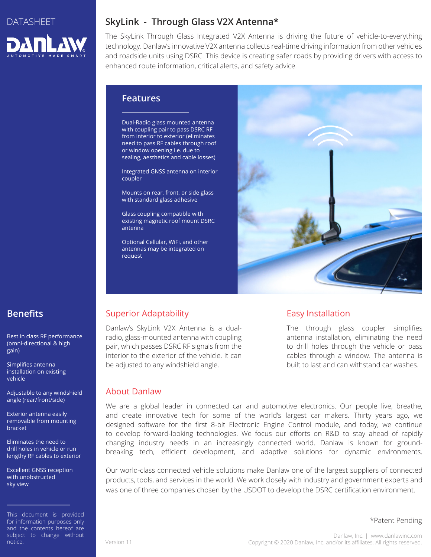

# **SkyLink - Through Glass V2X Antenna\***

The SkyLink Through Glass Integrated V2X Antenna is driving the future of vehicle-to-everything technology. Danlaw's innovative V2X antenna collects real-time driving information from other vehicles and roadside units using DSRC. This device is creating safer roads by providing drivers with access to enhanced route information, critical alerts, and safety advice.

### **Features**

Dual-Radio glass mounted antenna with coupling pair to pass DSRC RF from interior to exterior (eliminates need to pass RF cables through roof or window opening i.e. due to sealing, aesthetics and cable losses)

Integrated GNSS antenna on interior coupler

Mounts on rear, front, or side glass with standard glass adhesive

Glass coupling compatible with existing magnetic roof mount DSRC antenna

Optional Cellular, WiFi, and other antennas may be integrated on request



# **Benefits**

Best in class RF performance (omni-directional & high gain)

Simplifies antenna installation on existing vehicle

Adjustable to any windshield angle (rear/front/side)

Exterior antenna easily removable from mounting bracket

Eliminates the need to drill holes in vehicle or run lengthy RF cables to exterior

Excellent GNSS reception with unobstructed sky view

This document is provided for information purposes only and the contents hereof are subject to change without notice.

# Superior Adaptability

Danlaw's SkyLink V2X Antenna is a dualradio, glass-mounted antenna with coupling pair, which passes DSRC RF signals from the interior to the exterior of the vehicle. It can be adjusted to any windshield angle.

### Easy Installation

The through glass coupler simplifies antenna installation, eliminating the need to drill holes through the vehicle or pass cables through a window. The antenna is built to last and can withstand car washes.

### About Danlaw

We are a global leader in connected car and automotive electronics. Our people live, breathe, and create innovative tech for some of the world's largest car makers. Thirty years ago, we designed software for the first 8-bit Electronic Engine Control module, and today, we continue to develop forward-looking technologies. We focus our efforts on R&D to stay ahead of rapidly changing industry needs in an increasingly connected world. Danlaw is known for groundbreaking tech, efficient development, and adaptive solutions for dynamic environments.

Our world-class connected vehicle solutions make Danlaw one of the largest suppliers of connected products, tools, and services in the world. We work closely with industry and government experts and was one of three companies chosen by the USDOT to develop the DSRC certification environment.